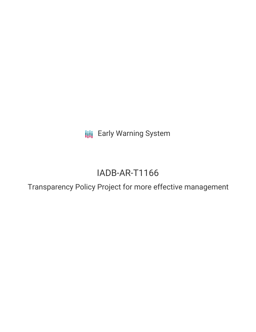**III** Early Warning System

# IADB-AR-T1166

Transparency Policy Project for more effective management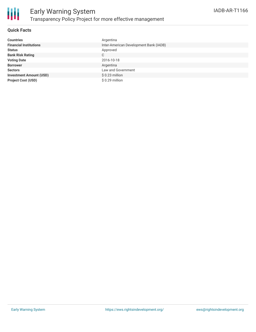

## **Quick Facts**

| <b>Countries</b>               | Argentina                              |
|--------------------------------|----------------------------------------|
| <b>Financial Institutions</b>  | Inter-American Development Bank (IADB) |
| <b>Status</b>                  | Approved                               |
| <b>Bank Risk Rating</b>        | C                                      |
| <b>Voting Date</b>             | 2016-10-18                             |
| <b>Borrower</b>                | Argentina                              |
| <b>Sectors</b>                 | Law and Government                     |
| <b>Investment Amount (USD)</b> | $$0.23$ million                        |
| <b>Project Cost (USD)</b>      | $$0.29$ million                        |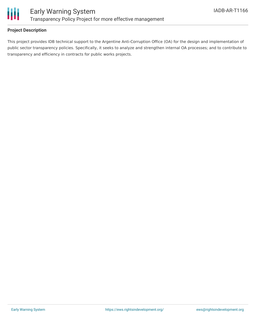

## **Project Description**

This project provides IDB technical support to the Argentine Anti-Corruption Office (OA) for the design and implementation of public sector transparency policies. Specifically, it seeks to analyze and strengthen internal OA processes; and to contribute to transparency and efficiency in contracts for public works projects.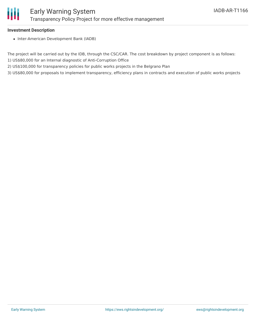

#### **Investment Description**

• Inter-American Development Bank (IADB)

The project will be carried out by the IDB, through the CSC/CAR. The cost breakdown by project component is as follows: 1) US\$80,000 for an Internal diagnostic of Anti-Corruption Office

2) US\$100,000 for transparency policies for public works projects in the Belgrano Plan

3) US\$80,000 for proposals to implement transparency, efficiency plans in contracts and execution of public works projects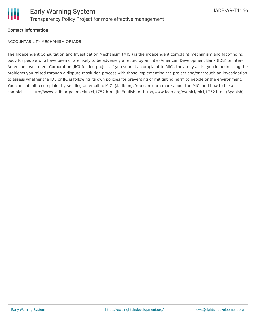

## **Contact Information**

ACCOUNTABILITY MECHANISM OF IADB

The Independent Consultation and Investigation Mechanism (MICI) is the independent complaint mechanism and fact-finding body for people who have been or are likely to be adversely affected by an Inter-American Development Bank (IDB) or Inter-American Investment Corporation (IIC)-funded project. If you submit a complaint to MICI, they may assist you in addressing the problems you raised through a dispute-resolution process with those implementing the project and/or through an investigation to assess whether the IDB or IIC is following its own policies for preventing or mitigating harm to people or the environment. You can submit a complaint by sending an email to MICI@iadb.org. You can learn more about the MICI and how to file a complaint at http://www.iadb.org/en/mici/mici,1752.html (in English) or http://www.iadb.org/es/mici/mici,1752.html (Spanish).